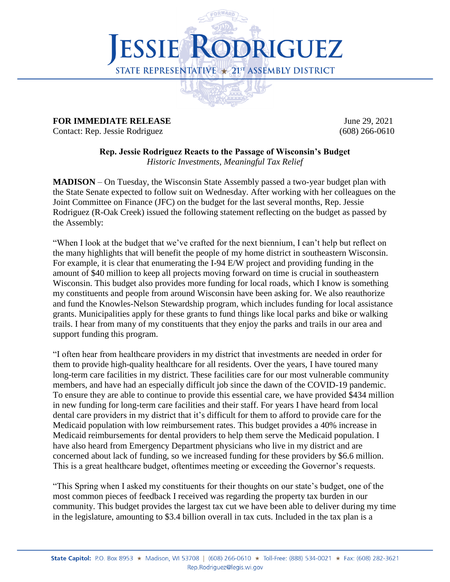

## **FOR IMMEDIATE RELEASE** *June 29, 2021*

Contact: Rep. Jessie Rodriguez (608) 266-0610

**Rep. Jessie Rodriguez Reacts to the Passage of Wisconsin's Budget** *Historic Investments, Meaningful Tax Relief*

**MADISON** – On Tuesday, the Wisconsin State Assembly passed a two-year budget plan with the State Senate expected to follow suit on Wednesday. After working with her colleagues on the Joint Committee on Finance (JFC) on the budget for the last several months, Rep. Jessie Rodriguez (R-Oak Creek) issued the following statement reflecting on the budget as passed by the Assembly:

"When I look at the budget that we've crafted for the next biennium, I can't help but reflect on the many highlights that will benefit the people of my home district in southeastern Wisconsin. For example, it is clear that enumerating the I-94 E/W project and providing funding in the amount of \$40 million to keep all projects moving forward on time is crucial in southeastern Wisconsin. This budget also provides more funding for local roads, which I know is something my constituents and people from around Wisconsin have been asking for. We also reauthorize and fund the Knowles-Nelson Stewardship program, which includes funding for local assistance grants. Municipalities apply for these grants to fund things like local parks and bike or walking trails. I hear from many of my constituents that they enjoy the parks and trails in our area and support funding this program.

"I often hear from healthcare providers in my district that investments are needed in order for them to provide high-quality healthcare for all residents. Over the years, I have toured many long-term care facilities in my district. These facilities care for our most vulnerable community members, and have had an especially difficult job since the dawn of the COVID-19 pandemic. To ensure they are able to continue to provide this essential care, we have provided \$434 million in new funding for long-term care facilities and their staff. For years I have heard from local dental care providers in my district that it's difficult for them to afford to provide care for the Medicaid population with low reimbursement rates. This budget provides a 40% increase in Medicaid reimbursements for dental providers to help them serve the Medicaid population. I have also heard from Emergency Department physicians who live in my district and are concerned about lack of funding, so we increased funding for these providers by \$6.6 million. This is a great healthcare budget, oftentimes meeting or exceeding the Governor's requests.

"This Spring when I asked my constituents for their thoughts on our state's budget, one of the most common pieces of feedback I received was regarding the property tax burden in our community. This budget provides the largest tax cut we have been able to deliver during my time in the legislature, amounting to \$3.4 billion overall in tax cuts. Included in the tax plan is a